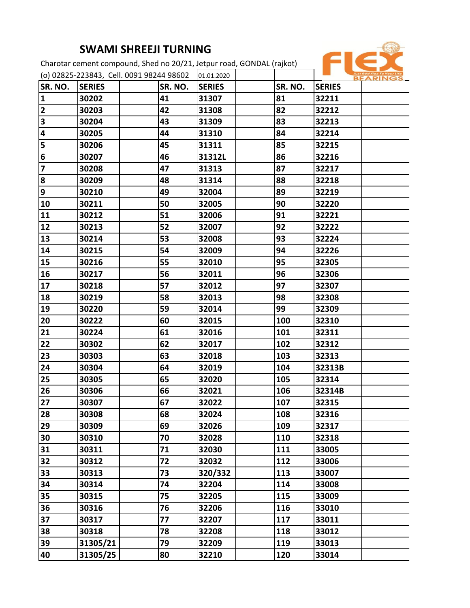## **SWAMI SHREEJI TURNING**

Charotar cement compound, Shed no 20/21, Jetpur road, GONDAL (rajkot)



| (o) 02825-223843, Cell. 0091 98244 98602 |               |  | 01.01.2020 |               |         | Just Add Flex To Your Life<br><b>BEARINGS</b> |  |
|------------------------------------------|---------------|--|------------|---------------|---------|-----------------------------------------------|--|
| SR. NO.                                  | <b>SERIES</b> |  | SR. NO.    | <b>SERIES</b> | SR. NO. | <b>SERIES</b>                                 |  |
| $\mathbf{1}$                             | 30202         |  | 41         | 31307         | 81      | 32211                                         |  |
| $\overline{\mathbf{2}}$                  | 30203         |  | 42         | 31308         | 82      | 32212                                         |  |
| 3                                        | 30204         |  | 43         | 31309         | 83      | 32213                                         |  |
| 4                                        | 30205         |  | 44         | 31310         | 84      | 32214                                         |  |
| 5                                        | 30206         |  | 45         | 31311         | 85      | 32215                                         |  |
| 6                                        | 30207         |  | 46         | 31312L        | 86      | 32216                                         |  |
| $\overline{\mathbf{z}}$                  | 30208         |  | 47         | 31313         | 87      | 32217                                         |  |
| 8                                        | 30209         |  | 48         | 31314         | 88      | 32218                                         |  |
| 9                                        | 30210         |  | 49         | 32004         | 89      | 32219                                         |  |
| 10                                       | 30211         |  | 50         | 32005         | 90      | 32220                                         |  |
| 11                                       | 30212         |  | 51         | 32006         | 91      | 32221                                         |  |
| 12                                       | 30213         |  | 52         | 32007         | 92      | 32222                                         |  |
| 13                                       | 30214         |  | 53         | 32008         | 93      | 32224                                         |  |
| 14                                       | 30215         |  | 54         | 32009         | 94      | 32226                                         |  |
| 15                                       | 30216         |  | 55         | 32010         | 95      | 32305                                         |  |
| 16                                       | 30217         |  | 56         | 32011         | 96      | 32306                                         |  |
| 17                                       | 30218         |  | 57         | 32012         | 97      | 32307                                         |  |
| 18                                       | 30219         |  | 58         | 32013         | 98      | 32308                                         |  |
| 19                                       | 30220         |  | 59         | 32014         | 99      | 32309                                         |  |
| 20                                       | 30222         |  | 60         | 32015         | 100     | 32310                                         |  |
| 21                                       | 30224         |  | 61         | 32016         | 101     | 32311                                         |  |
| 22                                       | 30302         |  | 62         | 32017         | 102     | 32312                                         |  |
| 23                                       | 30303         |  | 63         | 32018         | 103     | 32313                                         |  |
| 24                                       | 30304         |  | 64         | 32019         | 104     | 32313B                                        |  |
| 25                                       | 30305         |  | 65         | 32020         | 105     | 32314                                         |  |
| 26                                       | 30306         |  | 66         | 32021         | 106     | 32314B                                        |  |
| 27                                       | 30307         |  | 67         | 32022         | 107     | 32315                                         |  |
| 28                                       | 30308         |  | 68         | 32024         | 108     | 32316                                         |  |
| 29                                       | 30309         |  | 69         | 32026         | 109     | 32317                                         |  |
| 30                                       | 30310         |  | 70         | 32028         | 110     | 32318                                         |  |
| 31                                       | 30311         |  | 71         | 32030         | 111     | 33005                                         |  |
| 32                                       | 30312         |  | 72         | 32032         | 112     | 33006                                         |  |
| 33                                       | 30313         |  | 73         | 320/332       | 113     | 33007                                         |  |
| 34                                       | 30314         |  | 74         | 32204         | 114     | 33008                                         |  |
| 35                                       | 30315         |  | 75         | 32205         | 115     | 33009                                         |  |
| 36                                       | 30316         |  | 76         | 32206         | 116     | 33010                                         |  |
| 37                                       | 30317         |  | 77         | 32207         | 117     | 33011                                         |  |
| 38                                       | 30318         |  | 78         | 32208         | 118     | 33012                                         |  |
| 39                                       | 31305/21      |  | 79         | 32209         | 119     | 33013                                         |  |
| 40                                       | 31305/25      |  | 80         | 32210         | 120     | 33014                                         |  |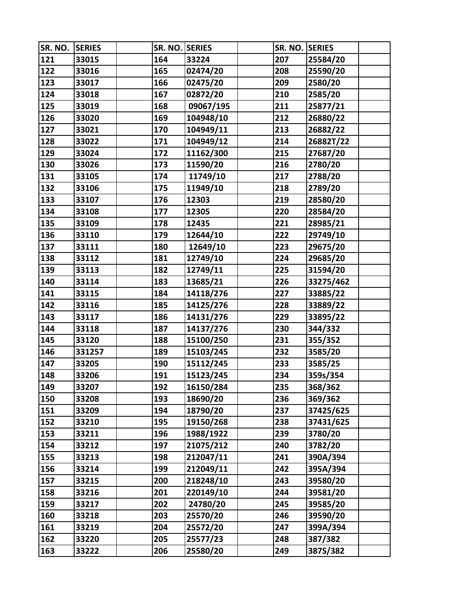| SR. NO. | <b>SERIES</b> | SR. NO. SERIES |           | SR. NO. SERIES |           |  |
|---------|---------------|----------------|-----------|----------------|-----------|--|
| 121     | 33015         | 164            | 33224     | 207            | 25584/20  |  |
| 122     | 33016         | 165            | 02474/20  | 208            | 25590/20  |  |
| 123     | 33017         | 166            | 02475/20  | 209            | 2580/20   |  |
| 124     | 33018         | 167            | 02872/20  | 210            | 2585/20   |  |
| 125     | 33019         | 168            | 09067/195 | 211            | 25877/21  |  |
| 126     | 33020         | 169            | 104948/10 | 212            | 26880/22  |  |
| 127     | 33021         | 170            | 104949/11 | 213            | 26882/22  |  |
| 128     | 33022         | 171            | 104949/12 | 214            | 26882T/22 |  |
| 129     | 33024         | 172            | 11162/300 | 215            | 27687/20  |  |
| 130     | 33026         | 173            | 11590/20  | 216            | 2780/20   |  |
| 131     | 33105         | 174            | 11749/10  | 217            | 2788/20   |  |
| 132     | 33106         | 175            | 11949/10  | 218            | 2789/20   |  |
| 133     | 33107         | 176            | 12303     | 219            | 28580/20  |  |
| 134     | 33108         | 177            | 12305     | 220            | 28584/20  |  |
| 135     | 33109         | 178            | 12435     | 221            | 28985/21  |  |
| 136     | 33110         | 179            | 12644/10  | 222            | 29749/10  |  |
| 137     | 33111         | 180            | 12649/10  | 223            | 29675/20  |  |
| 138     | 33112         | 181            | 12749/10  | 224            | 29685/20  |  |
| 139     | 33113         | 182            | 12749/11  | 225            | 31594/20  |  |
| 140     | 33114         | 183            | 13685/21  | 226            | 33275/462 |  |
| 141     | 33115         | 184            | 14118/276 | 227            | 33885/22  |  |
| 142     | 33116         | 185            | 14125/276 | 228            | 33889/22  |  |
| 143     | 33117         | 186            | 14131/276 | 229            | 33895/22  |  |
| 144     | 33118         | 187            | 14137/276 | 230            | 344/332   |  |
| 145     | 33120         | 188            | 15100/250 | 231            | 355/352   |  |
| 146     | 331257        | 189            | 15103/245 | 232            | 3585/20   |  |
| 147     | 33205         | 190            | 15112/245 | 233            | 3585/25   |  |
| 148     | 33206         | 191            | 15123/245 | 234            | 359s/354  |  |
| 149     | 33207         | 192            | 16150/284 | 235            | 368/362   |  |
| 150     | 33208         | 193            | 18690/20  | 236            | 369/362   |  |
| 151     | 33209         | 194            | 18790/20  | 237            | 37425/625 |  |
| 152     | 33210         | 195            | 19150/268 | 238            | 37431/625 |  |
| 153     | 33211         | 196            | 1988/1922 | 239            | 3780/20   |  |
| 154     | 33212         | 197            | 21075/212 | 240            | 3782/20   |  |
| 155     | 33213         | 198            | 212047/11 | 241            | 390A/394  |  |
| 156     | 33214         | 199            | 212049/11 | 242            | 395A/394  |  |
| 157     | 33215         | 200            | 218248/10 | 243            | 39580/20  |  |
| 158     | 33216         | 201            | 220149/10 | 244            | 39581/20  |  |
| 159     | 33217         | 202            | 24780/20  | 245            | 39585/20  |  |
| 160     | 33218         | 203            | 25570/20  | 246            | 39590/20  |  |
| 161     | 33219         | 204            | 25572/20  | 247            | 399A/394  |  |
| 162     | 33220         | 205            | 25577/23  | 248            | 387/382   |  |
| 163     | 33222         | 206            | 25580/20  | 249            | 387S/382  |  |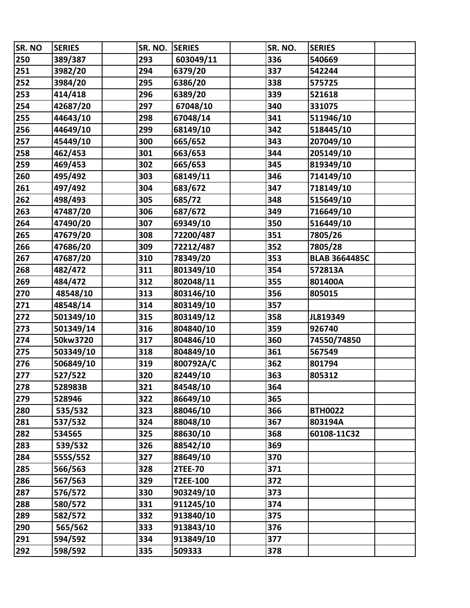| SR. NO | <b>SERIES</b> | SR. NO. | <b>SERIES</b>  | SR. NO. | <b>SERIES</b>        |
|--------|---------------|---------|----------------|---------|----------------------|
| 250    | 389/387       | 293     | 603049/11      | 336     | 540669               |
| 251    | 3982/20       | 294     | 6379/20        | 337     | 542244               |
| 252    | 3984/20       | 295     | 6386/20        | 338     | 575725               |
| 253    | 414/418       | 296     | 6389/20        | 339     | 521618               |
| 254    | 42687/20      | 297     | 67048/10       | 340     | 331075               |
| 255    | 44643/10      | 298     | 67048/14       | 341     | 511946/10            |
| 256    | 44649/10      | 299     | 68149/10       | 342     | 518445/10            |
| 257    | 45449/10      | 300     | 665/652        | 343     | 207049/10            |
| 258    | 462/453       | 301     | 663/653        | 344     | 205149/10            |
| 259    | 469/453       | 302     | 665/653        | 345     | 819349/10            |
| 260    | 495/492       | 303     | 68149/11       | 346     | 714149/10            |
| 261    | 497/492       | 304     | 683/672        | 347     | 718149/10            |
| 262    | 498/493       | 305     | 685/72         | 348     | 515649/10            |
| 263    | 47487/20      | 306     | 687/672        | 349     | 716649/10            |
| 264    | 47490/20      | 307     | 69349/10       | 350     | 516449/10            |
| 265    | 47679/20      | 308     | 72200/487      | 351     | 7805/26              |
| 266    | 47686/20      | 309     | 72212/487      | 352     | 7805/28              |
| 267    | 47687/20      | 310     | 78349/20       | 353     | <b>BLAB 3664485C</b> |
| 268    | 482/472       | 311     | 801349/10      | 354     | 572813A              |
| 269    | 484/472       | 312     | 802048/11      | 355     | 801400A              |
| 270    | 48548/10      | 313     | 803146/10      | 356     | 805015               |
| 271    | 48548/14      | 314     | 803149/10      | 357     |                      |
| 272    | 501349/10     | 315     | 803149/12      | 358     | JL819349             |
| 273    | 501349/14     | 316     | 804840/10      | 359     | 926740               |
| 274    | 50kw3720      | 317     | 804846/10      | 360     | 74550/74850          |
| 275    | 503349/10     | 318     | 804849/10      | 361     | 567549               |
| 276    | 506849/10     | 319     | 800792A/C      | 362     | 801794               |
| 277    | 527/522       | 320     | 82449/10       | 363     | 805312               |
| 278    | 528983B       | 321     | 84548/10       | 364     |                      |
| 279    | 528946        | 322     | 86649/10       | 365     |                      |
| 280    | 535/532       | 323     | 88046/10       | 366     | <b>BTH0022</b>       |
| 281    | 537/532       | 324     | 88048/10       | 367     | 803194A              |
| 282    | 534565        | 325     | 88630/10       | 368     | 60108-11C32          |
| 283    | 539/532       | 326     | 88542/10       | 369     |                      |
| 284    | 555S/552      | 327     | 88649/10       | 370     |                      |
| 285    | 566/563       | 328     | <b>2TEE-70</b> | 371     |                      |
| 286    | 567/563       | 329     | T2EE-100       | 372     |                      |
| 287    | 576/572       | 330     | 903249/10      | 373     |                      |
| 288    | 580/572       | 331     | 911245/10      | 374     |                      |
| 289    | 582/572       | 332     | 913840/10      | 375     |                      |
| 290    | 565/562       | 333     | 913843/10      | 376     |                      |
| 291    | 594/592       | 334     | 913849/10      | 377     |                      |
| 292    | 598/592       | 335     | 509333         | 378     |                      |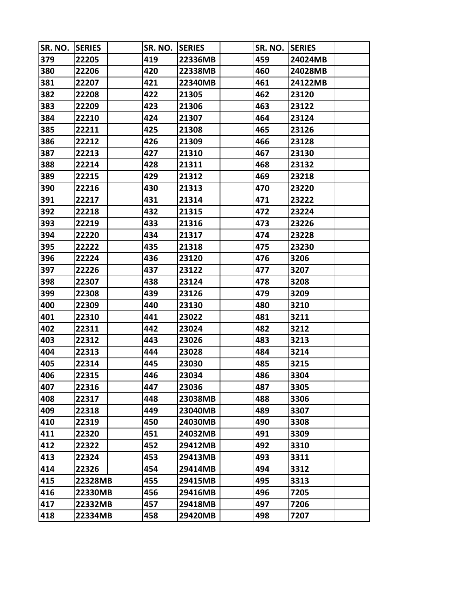| SR. NO. | <b>SERIES</b> | SR. NO. | <b>SERIES</b> | SR. NO. | <b>SERIES</b> |  |
|---------|---------------|---------|---------------|---------|---------------|--|
| 379     | 22205         | 419     | 22336MB       | 459     | 24024MB       |  |
| 380     | 22206         | 420     | 22338MB       | 460     | 24028MB       |  |
| 381     | 22207         | 421     | 22340MB       | 461     | 24122MB       |  |
| 382     | 22208         | 422     | 21305         | 462     | 23120         |  |
| 383     | 22209         | 423     | 21306         | 463     | 23122         |  |
| 384     | 22210         | 424     | 21307         | 464     | 23124         |  |
| 385     | 22211         | 425     | 21308         | 465     | 23126         |  |
| 386     | 22212         | 426     | 21309         | 466     | 23128         |  |
| 387     | 22213         | 427     | 21310         | 467     | 23130         |  |
| 388     | 22214         | 428     | 21311         | 468     | 23132         |  |
| 389     | 22215         | 429     | 21312         | 469     | 23218         |  |
| 390     | 22216         | 430     | 21313         | 470     | 23220         |  |
| 391     | 22217         | 431     | 21314         | 471     | 23222         |  |
| 392     | 22218         | 432     | 21315         | 472     | 23224         |  |
| 393     | 22219         | 433     | 21316         | 473     | 23226         |  |
| 394     | 22220         | 434     | 21317         | 474     | 23228         |  |
| 395     | 22222         | 435     | 21318         | 475     | 23230         |  |
| 396     | 22224         | 436     | 23120         | 476     | 3206          |  |
| 397     | 22226         | 437     | 23122         | 477     | 3207          |  |
| 398     | 22307         | 438     | 23124         | 478     | 3208          |  |
| 399     | 22308         | 439     | 23126         | 479     | 3209          |  |
| 400     | 22309         | 440     | 23130         | 480     | 3210          |  |
| 401     | 22310         | 441     | 23022         | 481     | 3211          |  |
| 402     | 22311         | 442     | 23024         | 482     | 3212          |  |
| 403     | 22312         | 443     | 23026         | 483     | 3213          |  |
| 404     | 22313         | 444     | 23028         | 484     | 3214          |  |
| 405     | 22314         | 445     | 23030         | 485     | 3215          |  |
| 406     | 22315         | 446     | 23034         | 486     | 3304          |  |
| 407     | 22316         | 447     | 23036         | 487     | 3305          |  |
| 408     | 22317         | 448     | 23038MB       | 488     | 3306          |  |
| 409     | 22318         | 449     | 23040MB       | 489     | 3307          |  |
| 410     | 22319         | 450     | 24030MB       | 490     | 3308          |  |
| 411     | 22320         | 451     | 24032MB       | 491     | 3309          |  |
| 412     | 22322         | 452     | 29412MB       | 492     | 3310          |  |
| 413     | 22324         | 453     | 29413MB       | 493     | 3311          |  |
| 414     | 22326         | 454     | 29414MB       | 494     | 3312          |  |
| 415     | 22328MB       | 455     | 29415MB       | 495     | 3313          |  |
| 416     | 22330MB       | 456     | 29416MB       | 496     | 7205          |  |
| 417     | 22332MB       | 457     | 29418MB       | 497     | 7206          |  |
| 418     | 22334MB       | 458     | 29420MB       | 498     | 7207          |  |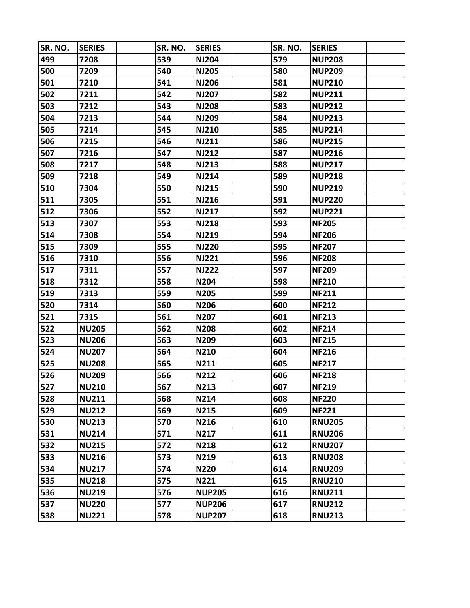| SR. NO. | <b>SERIES</b> | SR. NO. | <b>SERIES</b> | SR. NO. | <b>SERIES</b> |  |
|---------|---------------|---------|---------------|---------|---------------|--|
| 499     | 7208          | 539     | <b>NJ204</b>  | 579     | <b>NUP208</b> |  |
| 500     | 7209          | 540     | <b>NJ205</b>  | 580     | <b>NUP209</b> |  |
| 501     | 7210          | 541     | <b>NJ206</b>  | 581     | <b>NUP210</b> |  |
| 502     | 7211          | 542     | <b>NJ207</b>  | 582     | <b>NUP211</b> |  |
| 503     | 7212          | 543     | <b>NJ208</b>  | 583     | <b>NUP212</b> |  |
| 504     | 7213          | 544     | <b>NJ209</b>  | 584     | <b>NUP213</b> |  |
| 505     | 7214          | 545     | <b>NJ210</b>  | 585     | <b>NUP214</b> |  |
| 506     | 7215          | 546     | <b>NJ211</b>  | 586     | <b>NUP215</b> |  |
| 507     | 7216          | 547     | <b>NJ212</b>  | 587     | <b>NUP216</b> |  |
| 508     | 7217          | 548     | <b>NJ213</b>  | 588     | <b>NUP217</b> |  |
| 509     | 7218          | 549     | <b>NJ214</b>  | 589     | <b>NUP218</b> |  |
| 510     | 7304          | 550     | <b>NJ215</b>  | 590     | <b>NUP219</b> |  |
| 511     | 7305          | 551     | <b>NJ216</b>  | 591     | <b>NUP220</b> |  |
| 512     | 7306          | 552     | <b>NJ217</b>  | 592     | <b>NUP221</b> |  |
| 513     | 7307          | 553     | <b>NJ218</b>  | 593     | <b>NF205</b>  |  |
| 514     | 7308          | 554     | <b>NJ219</b>  | 594     | <b>NF206</b>  |  |
| 515     | 7309          | 555     | <b>NJ220</b>  | 595     | <b>NF207</b>  |  |
| 516     | 7310          | 556     | <b>NJ221</b>  | 596     | <b>NF208</b>  |  |
| 517     | 7311          | 557     | <b>NJ222</b>  | 597     | <b>NF209</b>  |  |
| 518     | 7312          | 558     | <b>N204</b>   | 598     | <b>NF210</b>  |  |
| 519     | 7313          | 559     | N205          | 599     | <b>NF211</b>  |  |
| 520     | 7314          | 560     | N206          | 600     | <b>NF212</b>  |  |
| 521     | 7315          | 561     | N207          | 601     | <b>NF213</b>  |  |
| 522     | <b>NU205</b>  | 562     | <b>N208</b>   | 602     | <b>NF214</b>  |  |
| 523     | <b>NU206</b>  | 563     | N209          | 603     | <b>NF215</b>  |  |
| 524     | <b>NU207</b>  | 564     | N210          | 604     | <b>NF216</b>  |  |
| 525     | <b>NU208</b>  | 565     | N211          | 605     | <b>NF217</b>  |  |
| 526     | <b>NU209</b>  | 566     | <b>N212</b>   | 606     | <b>NF218</b>  |  |
| 527     | <b>NU210</b>  | 567     | N213          | 607     | <b>NF219</b>  |  |
| 528     | <b>NU211</b>  | 568     | N214          | 608     | <b>NF220</b>  |  |
| 529     | <b>NU212</b>  | 569     | N215          | 609     | <b>NF221</b>  |  |
| 530     | <b>NU213</b>  | 570     | N216          | 610     | <b>RNU205</b> |  |
| 531     | <b>NU214</b>  | 571     | N217          | 611     | <b>RNU206</b> |  |
| 532     | <b>NU215</b>  | 572     | <b>N218</b>   | 612     | <b>RNU207</b> |  |
| 533     | <b>NU216</b>  | 573     | N219          | 613     | <b>RNU208</b> |  |
| 534     | <b>NU217</b>  | 574     | <b>N220</b>   | 614     | <b>RNU209</b> |  |
| 535     | <b>NU218</b>  | 575     | N221          | 615     | <b>RNU210</b> |  |
| 536     | <b>NU219</b>  | 576     | <b>NUP205</b> | 616     | <b>RNU211</b> |  |
| 537     | <b>NU220</b>  | 577     | <b>NUP206</b> | 617     | <b>RNU212</b> |  |
| 538     | <b>NU221</b>  | 578     | <b>NUP207</b> | 618     | <b>RNU213</b> |  |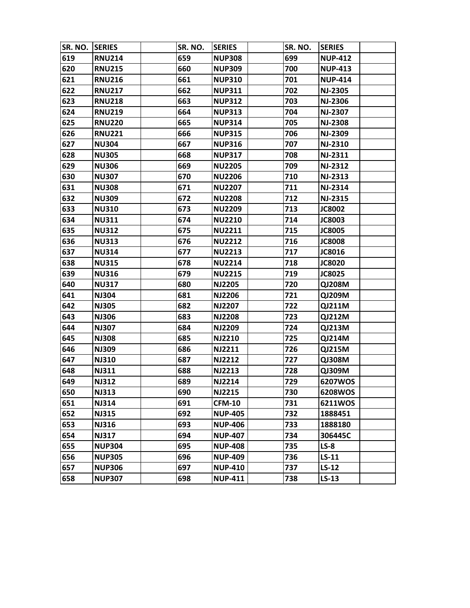| SR. NO. | <b>SERIES</b> | SR. NO. | <b>SERIES</b>  | SR. NO. | <b>SERIES</b>  |  |
|---------|---------------|---------|----------------|---------|----------------|--|
| 619     | <b>RNU214</b> | 659     | <b>NUP308</b>  | 699     | <b>NUP-412</b> |  |
| 620     | <b>RNU215</b> | 660     | <b>NUP309</b>  | 700     | <b>NUP-413</b> |  |
| 621     | <b>RNU216</b> | 661     | <b>NUP310</b>  | 701     | <b>NUP-414</b> |  |
| 622     | <b>RNU217</b> | 662     | <b>NUP311</b>  | 702     | <b>NJ-2305</b> |  |
| 623     | <b>RNU218</b> | 663     | <b>NUP312</b>  | 703     | <b>NJ-2306</b> |  |
| 624     | <b>RNU219</b> | 664     | <b>NUP313</b>  | 704     | <b>NJ-2307</b> |  |
| 625     | <b>RNU220</b> | 665     | <b>NUP314</b>  | 705     | <b>NJ-2308</b> |  |
| 626     | <b>RNU221</b> | 666     | <b>NUP315</b>  | 706     | <b>NJ-2309</b> |  |
| 627     | <b>NU304</b>  | 667     | <b>NUP316</b>  | 707     | NJ-2310        |  |
| 628     | <b>NU305</b>  | 668     | <b>NUP317</b>  | 708     | <b>NJ-2311</b> |  |
| 629     | <b>NU306</b>  | 669     | <b>NU2205</b>  | 709     | <b>NJ-2312</b> |  |
| 630     | <b>NU307</b>  | 670     | <b>NU2206</b>  | 710     | <b>NJ-2313</b> |  |
| 631     | <b>NU308</b>  | 671     | <b>NU2207</b>  | 711     | <b>NJ-2314</b> |  |
| 632     | <b>NU309</b>  | 672     | <b>NU2208</b>  | 712     | <b>NJ-2315</b> |  |
| 633     | <b>NU310</b>  | 673     | <b>NU2209</b>  | 713     | <b>JC8002</b>  |  |
| 634     | <b>NU311</b>  | 674     | <b>NU2210</b>  | 714     | <b>JC8003</b>  |  |
| 635     | <b>NU312</b>  | 675     | <b>NU2211</b>  | 715     | <b>JC8005</b>  |  |
| 636     | <b>NU313</b>  | 676     | <b>NU2212</b>  | 716     | <b>JC8008</b>  |  |
| 637     | <b>NU314</b>  | 677     | <b>NU2213</b>  | 717     | JC8016         |  |
| 638     | <b>NU315</b>  | 678     | <b>NU2214</b>  | 718     | <b>JC8020</b>  |  |
| 639     | <b>NU316</b>  | 679     | <b>NU2215</b>  | 719     | JC8025         |  |
| 640     | <b>NU317</b>  | 680     | <b>NJ2205</b>  | 720     | QJ208M         |  |
| 641     | <b>NJ304</b>  | 681     | <b>NJ2206</b>  | 721     | QJ209M         |  |
| 642     | <b>NJ305</b>  | 682     | <b>NJ2207</b>  | 722     | QJ211M         |  |
| 643     | <b>NJ306</b>  | 683     | <b>NJ2208</b>  | 723     | <b>QJ212M</b>  |  |
| 644     | <b>NJ307</b>  | 684     | <b>NJ2209</b>  | 724     | QJ213M         |  |
| 645     | <b>NJ308</b>  | 685     | <b>NJ2210</b>  | 725     | QJ214M         |  |
| 646     | <b>NJ309</b>  | 686     | <b>NJ2211</b>  | 726     | QJ215M         |  |
| 647     | <b>NJ310</b>  | 687     | <b>NJ2212</b>  | 727     | QJ308M         |  |
| 648     | <b>NJ311</b>  | 688     | <b>NJ2213</b>  | 728     | QJ309M         |  |
| 649     | <b>NJ312</b>  | 689     | <b>NJ2214</b>  | 729     | 6207WOS        |  |
| 650     | <b>NJ313</b>  | 690     | <b>NJ2215</b>  | 730     | 6208WOS        |  |
| 651     | <b>NJ314</b>  | 691     | <b>CFM-10</b>  | 731     | 6211WOS        |  |
| 652     | <b>NJ315</b>  | 692     | <b>NUP-405</b> | 732     | 1888451        |  |
| 653     | <b>NJ316</b>  | 693     | <b>NUP-406</b> | 733     | 1888180        |  |
| 654     | <b>NJ317</b>  | 694     | <b>NUP-407</b> | 734     | 306445C        |  |
| 655     | <b>NUP304</b> | 695     | <b>NUP-408</b> | 735     | $LS-8$         |  |
| 656     | <b>NUP305</b> | 696     | <b>NUP-409</b> | 736     | $LS-11$        |  |
| 657     | <b>NUP306</b> | 697     | <b>NUP-410</b> | 737     | $LS-12$        |  |
| 658     | <b>NUP307</b> | 698     | <b>NUP-411</b> | 738     | $LS-13$        |  |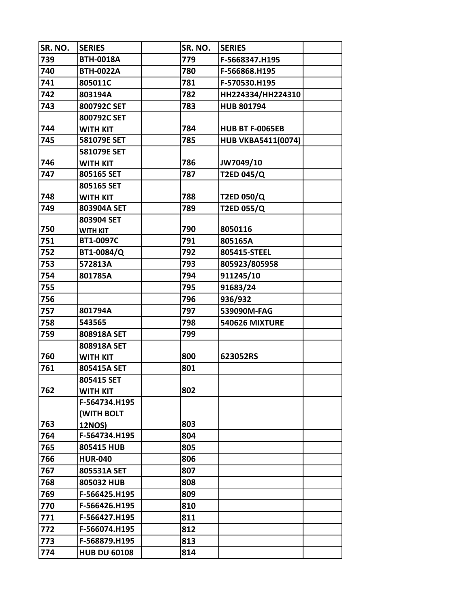| SR. NO. | <b>SERIES</b>       | SR. NO. | <b>SERIES</b>             |  |
|---------|---------------------|---------|---------------------------|--|
| 739     | <b>BTH-0018A</b>    | 779     | F-5668347.H195            |  |
| 740     | <b>BTH-0022A</b>    | 780     | F-566868.H195             |  |
| 741     | 805011C             | 781     | F-570530.H195             |  |
| 742     | 803194A             | 782     | HH224334/HH224310         |  |
| 743     | 800792C SET         | 783     | <b>HUB 801794</b>         |  |
|         | 800792C SET         |         |                           |  |
| 744     | <b>WITH KIT</b>     | 784     | <b>HUB BT F-0065EB</b>    |  |
| 745     | 581079E SET         | 785     | <b>HUB VKBA5411(0074)</b> |  |
|         | 581079E SET         |         |                           |  |
| 746     | <b>WITH KIT</b>     | 786     | JW7049/10                 |  |
| 747     | 805165 SET          | 787     | <b>T2ED 045/Q</b>         |  |
|         | 805165 SET          |         |                           |  |
| 748     | <b>WITH KIT</b>     | 788     | T2ED 050/Q                |  |
| 749     | 803904A SET         | 789     | T2ED 055/Q                |  |
|         | 803904 SET          |         |                           |  |
| 750     | <b>WITH KIT</b>     | 790     | 8050116                   |  |
| 751     | BT1-0097C           | 791     | 805165A                   |  |
| 752     | BT1-0084/Q          | 792     | 805415-STEEL              |  |
| 753     | 572813A             | 793     | 805923/805958             |  |
| 754     | 801785A             | 794     | 911245/10                 |  |
| 755     |                     | 795     | 91683/24                  |  |
| 756     |                     | 796     | 936/932                   |  |
| 757     | 801794A             | 797     | 539090M-FAG               |  |
| 758     | 543565              | 798     | <b>540626 MIXTURE</b>     |  |
| 759     | 808918A SET         | 799     |                           |  |
|         | 808918A SET         |         |                           |  |
| 760     | <b>WITH KIT</b>     | 800     | 623052RS                  |  |
| 761     | 805415A SET         | 801     |                           |  |
|         | 805415 SET          |         |                           |  |
| 762     | <b>WITH KIT</b>     | 802     |                           |  |
|         | F-564734.H195       |         |                           |  |
|         | (WITH BOLT          |         |                           |  |
| 763     | <b>12NOS)</b>       | 803     |                           |  |
| 764     | F-564734.H195       | 804     |                           |  |
| 765     | 805415 HUB          | 805     |                           |  |
| 766     | <b>HUR-040</b>      | 806     |                           |  |
| 767     | 805531A SET         | 807     |                           |  |
| 768     | 805032 HUB          | 808     |                           |  |
| 769     | F-566425.H195       | 809     |                           |  |
| 770     | F-566426.H195       | 810     |                           |  |
| 771     | F-566427.H195       | 811     |                           |  |
| 772     | F-566074.H195       | 812     |                           |  |
| 773     | F-568879.H195       | 813     |                           |  |
| 774     | <b>HUB DU 60108</b> | 814     |                           |  |